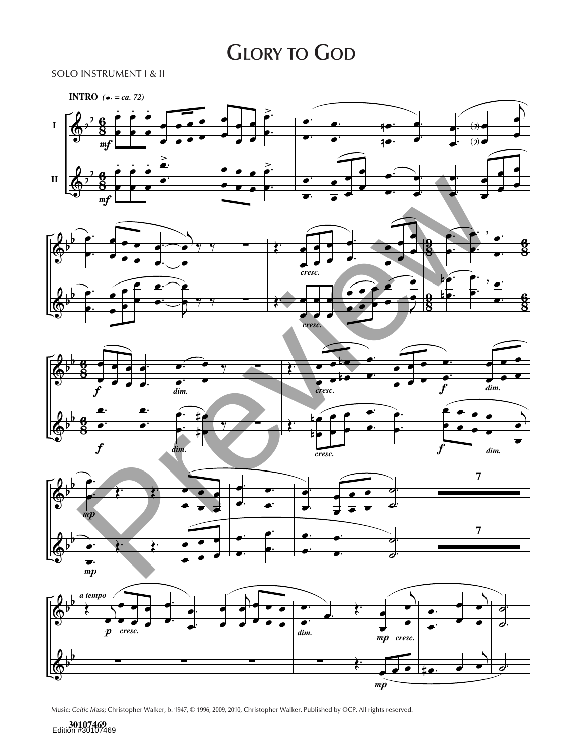## **GLORY TO GOD**

### SOLO INSTRUMENT I & II













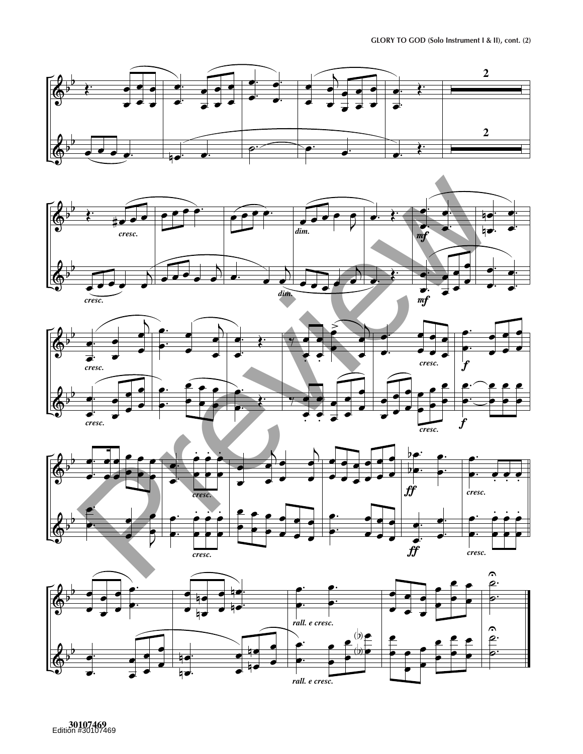







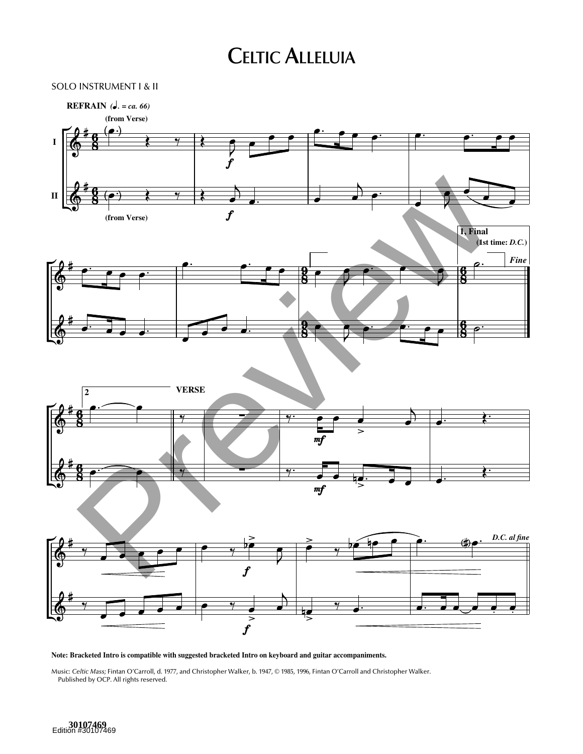## **CELTIC ALLELUIA**

#### SOLO INSTRUMENT I & II



**Note: Bracketed Intro is compatible with suggested bracketed Intro on keyboard and guitar accompaniments.**

Music: *Celtic Mass;* Fintan O'Carroll, d. 1977, and Christopher Walker, b. 1947, © 1985, 1996, Fintan O'Carroll and Christopher Walker. Published by OCP. All rights reserved.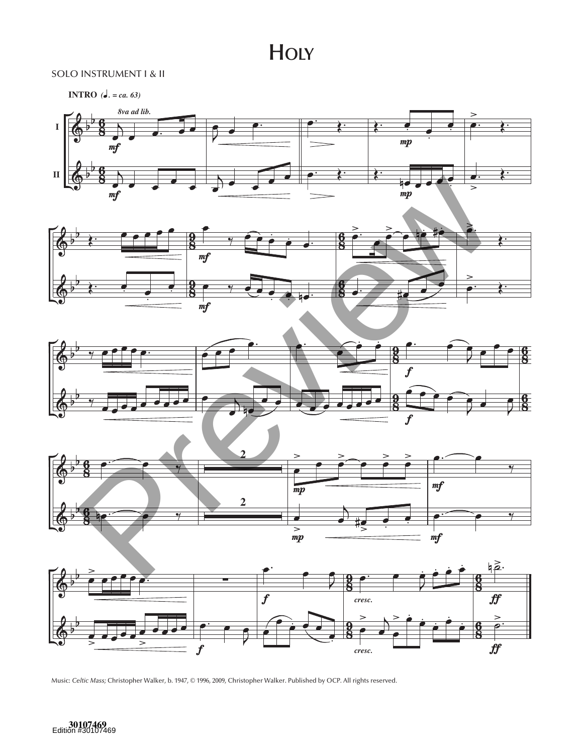## **HOLY**

### SOLO INSTRUMENT I & II











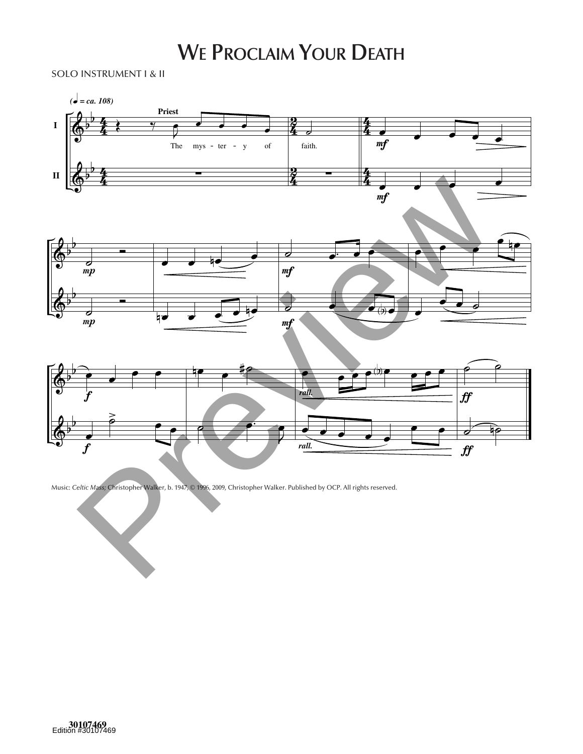# **WE PROCLAIM YOUR DEATH**

SOLO INSTRUMENT I & II

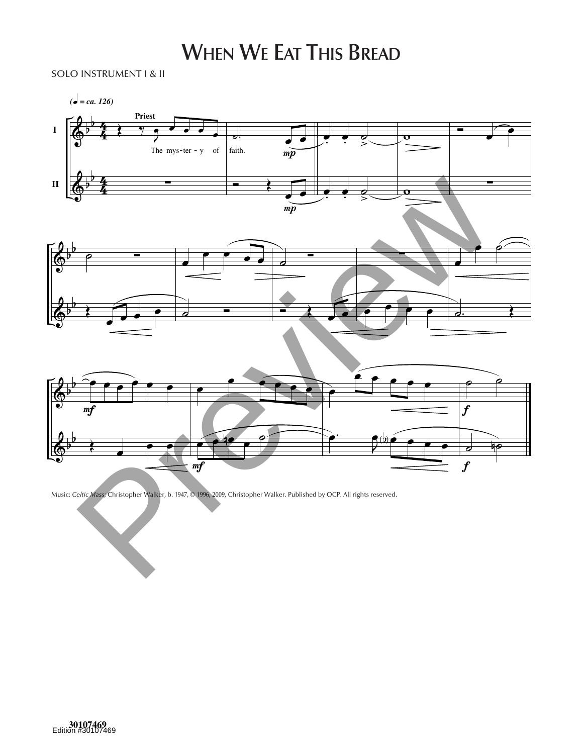## **WHEN WE EAT THIS BREAD**

SOLO INSTRUMENT I & II

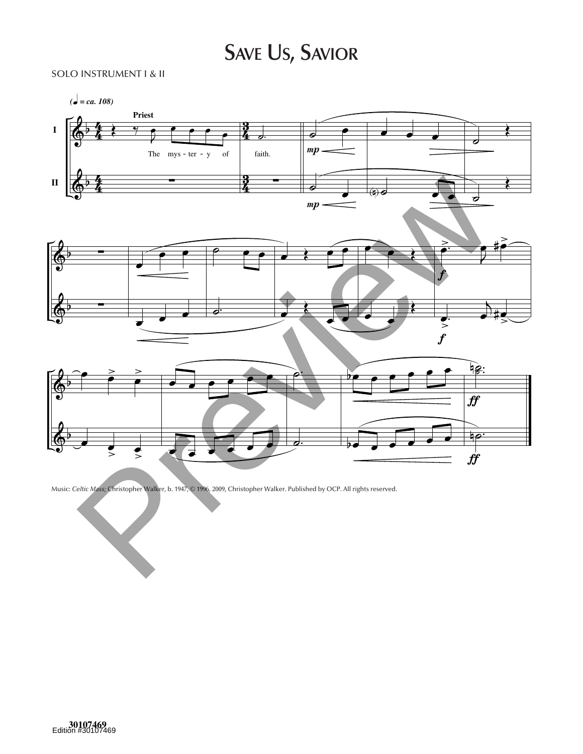# **SAVE US, SAVIOR**

SOLO INSTRUMENT I & II